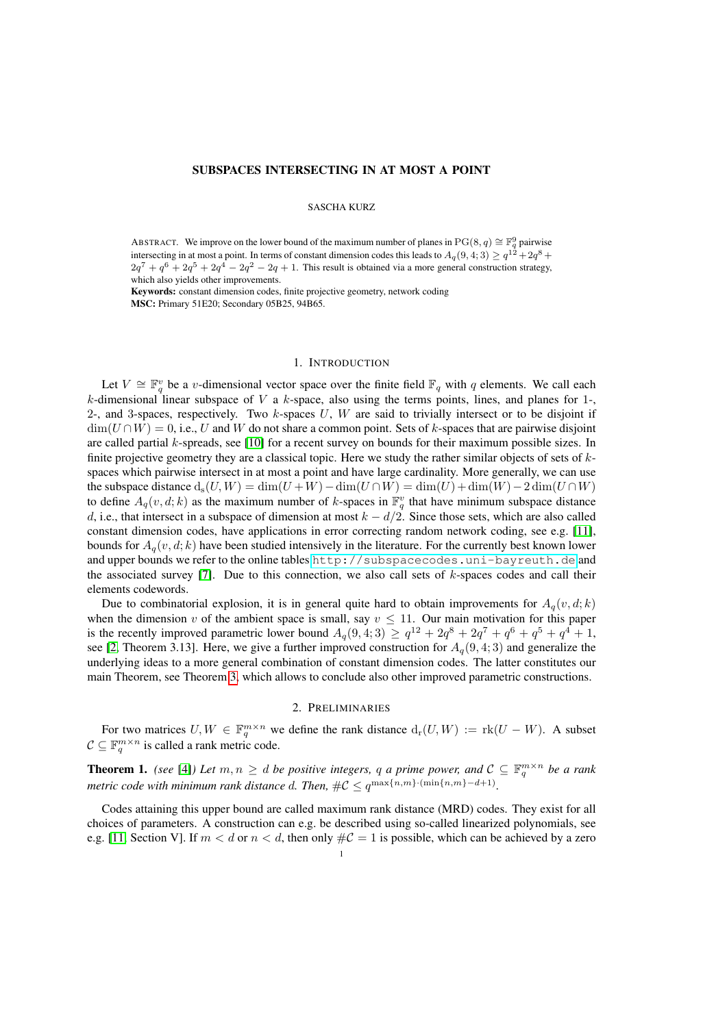# SUBSPACES INTERSECTING IN AT MOST A POINT

# SASCHA KURZ

ABSTRACT. We improve on the lower bound of the maximum number of planes in  $PG(8, q) \cong \mathbb{F}_q^9$  pairwise intersecting in at most a point. In terms of constant dimension codes this leads to  $A_q(9,4;3) \geq q^{12} + 2q^8 +$  $2q^7 + q^6 + 2q^5 + 2q^4 - 2q^2 - 2q + 1$ . This result is obtained via a more general construction strategy, which also yields other improvements.

Keywords: constant dimension codes, finite projective geometry, network coding MSC: Primary 51E20; Secondary 05B25, 94B65.

#### 1. INTRODUCTION

Let  $V \cong \mathbb{F}_q^v$  be a v-dimensional vector space over the finite field  $\mathbb{F}_q$  with q elements. We call each k-dimensional linear subspace of V a k-space, also using the terms points, lines, and planes for  $1$ -2-, and 3-spaces, respectively. Two  $k$ -spaces  $U$ ,  $W$  are said to trivially intersect or to be disjoint if  $\dim(U \cap W) = 0$ , i.e., U and W do not share a common point. Sets of k-spaces that are pairwise disjoint are called partial k-spreads, see [\[10\]](#page-3-0) for a recent survey on bounds for their maximum possible sizes. In finite projective geometry they are a classical topic. Here we study the rather similar objects of sets of  $k$ spaces which pairwise intersect in at most a point and have large cardinality. More generally, we can use the subspace distance  $d_s(U, W) = \dim(U + W) - \dim(U \cap W) = \dim(U) + \dim(W) - 2 \dim(U \cap W)$ to define  $A_q(v, d; k)$  as the maximum number of k-spaces in  $\mathbb{F}_q^v$  that have minimum subspace distance d, i.e., that intersect in a subspace of dimension at most  $k - d/2$ . Since those sets, which are also called constant dimension codes, have applications in error correcting random network coding, see e.g. [\[11\]](#page-3-1), bounds for  $A_q(v, d; k)$  have been studied intensively in the literature. For the currently best known lower and upper bounds we refer to the online tables <http://subspacecodes.uni-bayreuth.de> and the associated survey [\[7\]](#page-3-2). Due to this connection, we also call sets of  $k$ -spaces codes and call their elements codewords.

Due to combinatorial explosion, it is in general quite hard to obtain improvements for  $A_q(v, d; k)$ when the dimension v of the ambient space is small, say  $v \le 11$ . Our main motivation for this paper is the recently improved parametric lower bound  $A_q(9, 4; 3) \ge q^{12} + 2q^8 + 2q^7 + q^6 + q^5 + q^4 + 1$ , see [\[2,](#page-3-3) Theorem 3.13]. Here, we give a further improved construction for  $A_q(9, 4; 3)$  and generalize the underlying ideas to a more general combination of constant dimension codes. The latter constitutes our main Theorem, see Theorem [3,](#page-1-0) which allows to conclude also other improved parametric constructions.

### 2. PRELIMINARIES

For two matrices  $U, W \in \mathbb{F}_q^{m \times n}$  we define the rank distance  $d_r(U, W) := \text{rk}(U - W)$ . A subset  $C \subseteq \mathbb{F}_q^{m \times n}$  is called a rank metric code.

**Theorem 1.** *(see* [\[4\]](#page-3-4)*)* Let  $m, n \geq d$  be positive integers, q a prime power, and  $C \subseteq \mathbb{F}_q^{m \times n}$  be a rank *metric code with minimum rank distance d. Then,*  $\#\mathcal{C} \leq q^{\max\{n,m\} \cdot (\min\{n,m\}-d+1)}$ .

Codes attaining this upper bound are called maximum rank distance (MRD) codes. They exist for all choices of parameters. A construction can e.g. be described using so-called linearized polynomials, see e.g. [\[11,](#page-3-1) Section V]. If  $m < d$  or  $n < d$ , then only  $\#C = 1$  is possible, which can be achieved by a zero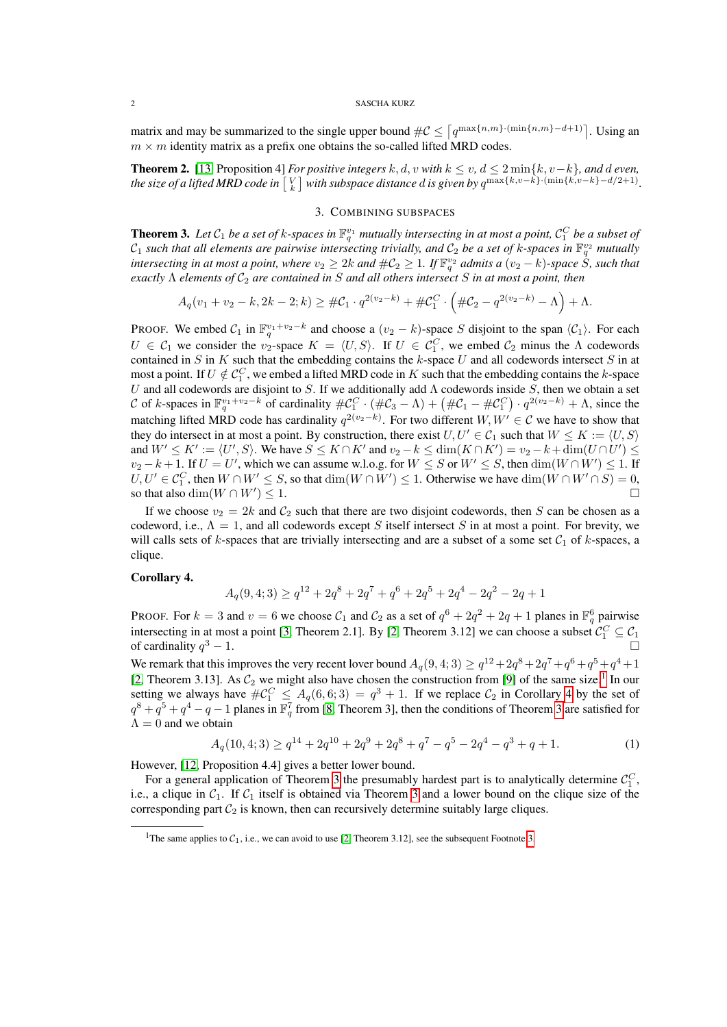### 2 SASCHA KURZ

matrix and may be summarized to the single upper bound  $\#\mathcal{C} \leq \lceil q^{\max\{n,m\} \cdot (\min\{n,m\}-d+1)} \rceil$ . Using an  $m \times m$  identity matrix as a prefix one obtains the so-called lifted MRD codes.

**Theorem 2.** [\[13,](#page-3-5) Proposition 4] *For positive integers*  $k$ ,  $d$ ,  $v$  *with*  $k ≤ v$ ,  $d ≤ 2 min{k, v-k}$ *, and d even,* the size of a lifted MRD code in  $\left[\frac{V}{k}\right]$  with subspace distance  $d$  is given by  $q^{\max\{k,v-k\} \cdot (\min\{k,v-k\} - d/2+1)}$ .

## 3. COMBINING SUBSPACES

<span id="page-1-0"></span>**Theorem 3.** Let  $C_1$  be a set of k-spaces in  $\mathbb{F}_q^{v_1}$  mutually intersecting in at most a point,  $C_1^C$  be a subset of  $C_1$  such that all elements are pairwise intersecting trivially, and  $C_2$  be a set of k-spaces in  $\mathbb{F}_q^{v_2}$  mutually intersecting in at most a point, where  $v_2\geq 2k$  and  $\# \mathcal{C}_2\geq 1$ . If  $\mathbb{F}_q^{v_2}$  admits a  $(v_2-k)$ -space  $\dot{S}$ , such that *exactly* Λ *elements of* C<sup>2</sup> *are contained in* S *and all others intersect* S *in at most a point, then*

$$
A_q(v_1 + v_2 - k, 2k - 2; k) \geq \#C_1 \cdot q^{2(v_2 - k)} + \#C_1^C \cdot \left(\#C_2 - q^{2(v_2 - k)} - \Lambda\right) + \Lambda.
$$

PROOF. We embed  $C_1$  in  $\mathbb{F}_q^{v_1+v_2-k}$  and choose a  $(v_2-k)$ -space S disjoint to the span  $\langle C_1 \rangle$ . For each  $U \in C_1$  we consider the  $v_2$ -space  $K = \langle U, S \rangle$ . If  $U \in C_1^C$ , we embed  $C_2$  minus the  $\Lambda$  codewords contained in  $S$  in  $K$  such that the embedding contains the  $k$ -space  $U$  and all codewords intersect  $S$  in at most a point. If  $U \notin \mathcal{C}_1^C$ , we embed a lifted MRD code in K such that the embedding contains the k-space U and all codewords are disjoint to S. If we additionally add  $\Lambda$  codewords inside S, then we obtain a set C of k-spaces in  $\mathbb{F}_q^{v_1+v_2-k}$  of cardinality  $\#\mathcal{C}_1^C \cdot (\#\mathcal{C}_3 - \Lambda) + (\#\mathcal{C}_1 - \#\mathcal{C}_1^C) \cdot q^{2(v_2-k)} + \Lambda$ , since the matching lifted MRD code has cardinality  $q^{2(v_2-k)}$ . For two different  $W, W' \in \mathcal{C}$  we have to show that they do intersect in at most a point. By construction, there exist  $U, U' \in C_1$  such that  $W \le K := \langle U, S \rangle$ and  $W' \le K' := \langle U', S \rangle$ . We have  $S \le K \cap K'$  and  $v_2 - k \le \dim(K \cap K') = v_2 - k + \dim(U \cap U') \le$  $v_2 - k + 1$ . If  $U = U'$ , which we can assume w.l.o.g. for  $W \leq S$  or  $W' \leq S$ , then  $\dim(W \cap W') \leq 1$ . If  $U, U' \in C_1^C$ , then  $W \cap W' \leq S$ , so that  $\dim(W \cap W') \leq 1$ . Otherwise we have  $\dim(W \cap W' \cap S) = 0$ , so that also dim( $W \cap W'$ )  $\leq 1$ .  $)\leq 1.$ 

If we choose  $v_2 = 2k$  and  $C_2$  such that there are two disjoint codewords, then S can be chosen as a codeword, i.e.,  $\Lambda = 1$ , and all codewords except S itself intersect S in at most a point. For brevity, we will calls sets of k-spaces that are trivially intersecting and are a subset of a some set  $C_1$  of k-spaces, a clique.

### <span id="page-1-2"></span>Corollary 4.

$$
A_q(9,4;3) \ge q^{12} + 2q^8 + 2q^7 + q^6 + 2q^5 + 2q^4 - 2q^2 - 2q + 1
$$

PROOF. For  $k = 3$  and  $v = 6$  we choose  $C_1$  and  $C_2$  as a set of  $q^6 + 2q^2 + 2q + 1$  planes in  $\mathbb{F}_q^6$  pairwise intersecting in at most a point [\[3,](#page-3-6) Theorem 2.1]. By [\[2,](#page-3-3) Theorem 3.12] we can choose a subset  $C_1^C \subseteq C_1$ of cardinality  $q^3 - 1$ .  $3 - 1.$ 

We remark that this improves the very recent lover bound  $A_q(9,4;3) \geq q^{12} + 2q^8 + 2q^7 + q^6 + q^5 + q^4 + 1$ [\[2,](#page-3-3) Theorem 3.[1](#page-1-1)3]. As  $C_2$  we might also have chosen the construction from [\[9\]](#page-3-7) of the same size.<sup>1</sup> In our setting we always have  $\#\mathcal{C}_1^C \leq A_q(6,6;3) = q^3 + 1$ . If we replace  $\mathcal{C}_2$  in Corollary [4](#page-1-2) by the set of  $q^8 + q^5 + q^4 - q - 1$  planes in  $\mathbb{F}_q^7$  from [\[8,](#page-3-8) Theorem [3](#page-1-0)], then the conditions of Theorem 3 are satisfied for  $\Lambda = 0$  and we obtain

$$
A_q(10,4;3) \ge q^{14} + 2q^{10} + 2q^9 + 2q^8 + q^7 - q^5 - 2q^4 - q^3 + q + 1. \tag{1}
$$

However, [\[12,](#page-3-9) Proposition 4.4] gives a better lower bound.

For a general application of Theorem [3](#page-1-0) the presumably hardest part is to analytically determine  $\mathcal{C}_1^C$ , i.e., a clique in  $C_1$ . If  $C_1$  itself is obtained via Theorem [3](#page-1-0) and a lower bound on the clique size of the corresponding part  $C_2$  is known, then can recursively determine suitably large cliques.

<span id="page-1-1"></span><sup>&</sup>lt;sup>1</sup>The same applies to  $C_1$ , i.e., we can avoid to use [\[2,](#page-3-3) Theorem [3.](#page-2-0)12], see the subsequent Footnote 3.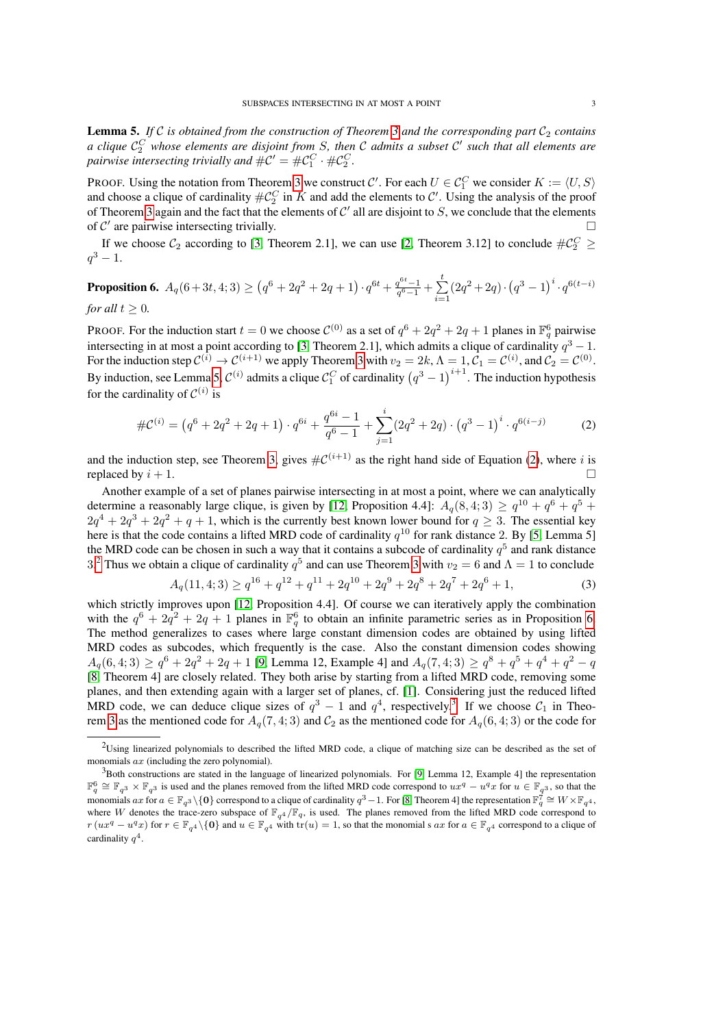<span id="page-2-1"></span>**Lemma 5.** If C is obtained from the construction of Theorem [3](#page-1-0) and the corresponding part  $C_2$  contains *a clique* C C <sup>2</sup> *whose elements are disjoint from* S*, then* C *admits a subset* C 0 *such that all elements are* pairwise intersecting trivially and  $\#\mathcal{C}' = \#\mathcal{C}_1^C \cdot \#\mathcal{C}_2^C$ .

PROOF. Using the notation from Theorem [3](#page-1-0) we construct C'. For each  $U \in C_1^C$  we consider  $K := \langle U, S \rangle$ and choose a clique of cardinality  $\#\mathcal{C}_2^C$  in K and add the elements to C'. Using the analysis of the proof of Theorem [3](#page-1-0) again and the fact that the elements of  $\mathcal{C}'$  all are disjoint to S, we conclude that the elements of  $\mathcal{C}'$  are pairwise intersecting trivially.

If we choose  $C_2$  according to [\[3,](#page-3-6) Theorem 2.1], we can use [\[2,](#page-3-3) Theorem 3.12] to conclude  $\#\mathcal{C}_2^C \geq$  $q^3 - 1.$ 

<span id="page-2-4"></span>**Proposition 6.** 
$$
A_q(6+3t, 4; 3) \ge (q^6 + 2q^2 + 2q + 1) \cdot q^{6t} + \frac{q^{6t} - 1}{q^6 - 1} + \sum_{i=1}^t (2q^2 + 2q) \cdot (q^3 - 1)^i \cdot q^{6(t-i)}
$$
  
for all  $t \ge 0$ .

PROOF. For the induction start  $t = 0$  we choose  $C^{(0)}$  as a set of  $q^6 + 2q^2 + 2q + 1$  planes in  $\mathbb{F}_q^6$  pairwise intersecting in at most a point according to [\[3,](#page-3-6) Theorem 2.1], which admits a clique of cardinality  $q^3 - 1$ . For the induction step  $\mathcal{C}^{(i)} \to \mathcal{C}^{(i+1)}$  we apply Theorem [3](#page-1-0) with  $v_2 = 2k$ ,  $\Lambda = 1$ ,  $\mathcal{C}_1 = \mathcal{C}^{(i)}$ , and  $\mathcal{C}_2 = \mathcal{C}^{(0)}$ . By induction, see Lemma [5,](#page-2-1)  $\mathcal{C}^{(i)}$  admits a clique  $\mathcal{C}^C_1$  of cardinality  $(q^3-1)^{i+1}$ . The induction hypothesis for the cardinality of  $\mathcal{C}^{(i)}$  is

<span id="page-2-2"></span>
$$
\#\mathcal{C}^{(i)} = (q^6 + 2q^2 + 2q + 1) \cdot q^{6i} + \frac{q^{6i} - 1}{q^6 - 1} + \sum_{j=1}^i (2q^2 + 2q) \cdot (q^3 - 1)^i \cdot q^{6(i-j)} \tag{2}
$$

and the induction step, see Theorem [3,](#page-1-0) gives  $\#\mathcal{C}^{(i+1)}$  as the right hand side of Equation [\(2\)](#page-2-2), where i is replaced by  $i + 1$ .

Another example of a set of planes pairwise intersecting in at most a point, where we can analytically determine a reasonably large clique, is given by [\[12,](#page-3-9) Proposition 4.4]:  $A_q(8,4;3) \ge q^{10} + q^6 + q^5 +$  $2q^4 + 2q^3 + 2q^2 + q + 1$ , which is the currently best known lower bound for  $q \ge 3$ . The essential key here is that the code contains a lifted MRD code of cardinality  $q^{10}$  for rank distance 2. By [\[5,](#page-3-10) Lemma 5] the MRD code can be chosen in such a way that it contains a subcode of cardinality  $q^5$  and rank distance 3.<sup>[2](#page-2-3)</sup> Thus we obtain a clique of cardinality  $q^5$  and can use Theorem [3](#page-1-0) with  $v_2 = 6$  and  $\Lambda = 1$  to conclude

<span id="page-2-5"></span>
$$
A_q(11,4;3) \ge q^{16} + q^{12} + q^{11} + 2q^{10} + 2q^9 + 2q^8 + 2q^7 + 2q^6 + 1,\tag{3}
$$

which strictly improves upon [\[12,](#page-3-9) Proposition 4.4]. Of course we can iteratively apply the combination with the  $q^6 + 2q^2 + 2q + 1$  planes in  $\mathbb{F}_q^6$  to obtain an infinite parametric series as in Proposition [6.](#page-2-4) The method generalizes to cases where large constant dimension codes are obtained by using lifted MRD codes as subcodes, which frequently is the case. Also the constant dimension codes showing  $A_q(6,4;3) \ge q^6 + 2q^2 + 2q + 1$  [\[9,](#page-3-7) Lemma 12, Example 4] and  $A_q(7,4;3) \ge q^8 + q^5 + q^4 + q^2 - q$ [\[8,](#page-3-8) Theorem 4] are closely related. They both arise by starting from a lifted MRD code, removing some planes, and then extending again with a larger set of planes, cf. [\[1\]](#page-3-11). Considering just the reduced lifted MRD code, we can deduce clique sizes of  $q^3 - 1$  $q^3 - 1$  $q^3 - 1$  and  $q^4$ , respectively.<sup>3</sup> If we choose  $C_1$  in Theo-rem [3](#page-1-0) as the mentioned code for  $A_q(7, 4; 3)$  and  $C_2$  as the mentioned code for  $A_q(6, 4; 3)$  or the code for

<span id="page-2-3"></span> $2$ Using linearized polynomials to described the lifted MRD code, a clique of matching size can be described as the set of monomials ax (including the zero polynomial).

<span id="page-2-0"></span> $3$ Both constructions are stated in the language of linearized polynomials. For [\[9,](#page-3-7) Lemma 12, Example 4] the representation  $\mathbb{F}_q^6 \cong \mathbb{F}_{q^3} \times \mathbb{F}_{q^3}$  is used and the planes removed from the lifted MRD code correspond to  $ux^q - u^qx$  for  $u \in \mathbb{F}_{q^3}$ , so that the monomials  $ax$  for  $a \in \mathbb{F}_{q^3} \setminus \{0\}$  correspond to a clique of cardinality  $q^3 - 1$ . For [\[8,](#page-3-8) Theorem 4] the representation  $\mathbb{F}_q^7 \cong W \times \mathbb{F}_{q^4}$ , where W denotes the trace-zero subspace of  $\mathbb{F}_{q^4}/\mathbb{F}_q$ , is used. The planes removed from the lifted MRD code correspond to  $r(ux^q - u^qx)$  for  $r \in \mathbb{F}_{q^4} \setminus \{0\}$  and  $u \in \mathbb{F}_{q^4}$  with  $tr(u) = 1$ , so that the monomial s  $ax$  for  $a \in \mathbb{F}_{q^4}$  correspond to a clique of cardinality  $q^4$ .